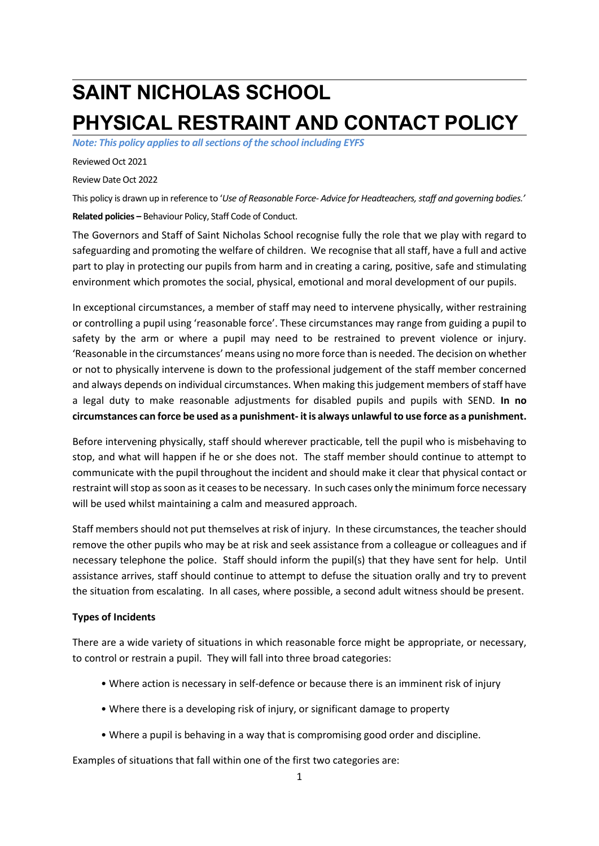# **SAINT NICHOLAS SCHOOL PHYSICAL RESTRAINT AND CONTACT POLICY**

*Note: This policy applies to all sections of the school including EYFS* 

Reviewed Oct 2021

Review Date Oct 2022

This policy is drawn up in reference to '*Use of Reasonable Force- Advice for Headteachers, staff and governing bodies.'* **Related policies –** Behaviour Policy, Staff Code of Conduct.

The Governors and Staff of Saint Nicholas School recognise fully the role that we play with regard to safeguarding and promoting the welfare of children. We recognise that all staff, have a full and active part to play in protecting our pupils from harm and in creating a caring, positive, safe and stimulating environment which promotes the social, physical, emotional and moral development of our pupils.

In exceptional circumstances, a member of staff may need to intervene physically, wither restraining or controlling a pupil using 'reasonable force'. These circumstances may range from guiding a pupil to safety by the arm or where a pupil may need to be restrained to prevent violence or injury. 'Reasonable in the circumstances' means using no more force than is needed. The decision on whether or not to physically intervene is down to the professional judgement of the staff member concerned and always depends on individual circumstances. When making this judgement members of staff have a legal duty to make reasonable adjustments for disabled pupils and pupils with SEND. **In no circumstances can force be used as a punishment- it is always unlawful to use force as a punishment.**

Before intervening physically, staff should wherever practicable, tell the pupil who is misbehaving to stop, and what will happen if he or she does not. The staff member should continue to attempt to communicate with the pupil throughout the incident and should make it clear that physical contact or restraint will stop as soon as it ceases to be necessary. In such cases only the minimum force necessary will be used whilst maintaining a calm and measured approach.

Staff members should not put themselves at risk of injury. In these circumstances, the teacher should remove the other pupils who may be at risk and seek assistance from a colleague or colleagues and if necessary telephone the police. Staff should inform the pupil(s) that they have sent for help. Until assistance arrives, staff should continue to attempt to defuse the situation orally and try to prevent the situation from escalating. In all cases, where possible, a second adult witness should be present.

#### **Types of Incidents**

There are a wide variety of situations in which reasonable force might be appropriate, or necessary, to control or restrain a pupil. They will fall into three broad categories:

- Where action is necessary in self-defence or because there is an imminent risk of injury
- Where there is a developing risk of injury, or significant damage to property
- Where a pupil is behaving in a way that is compromising good order and discipline.

Examples of situations that fall within one of the first two categories are: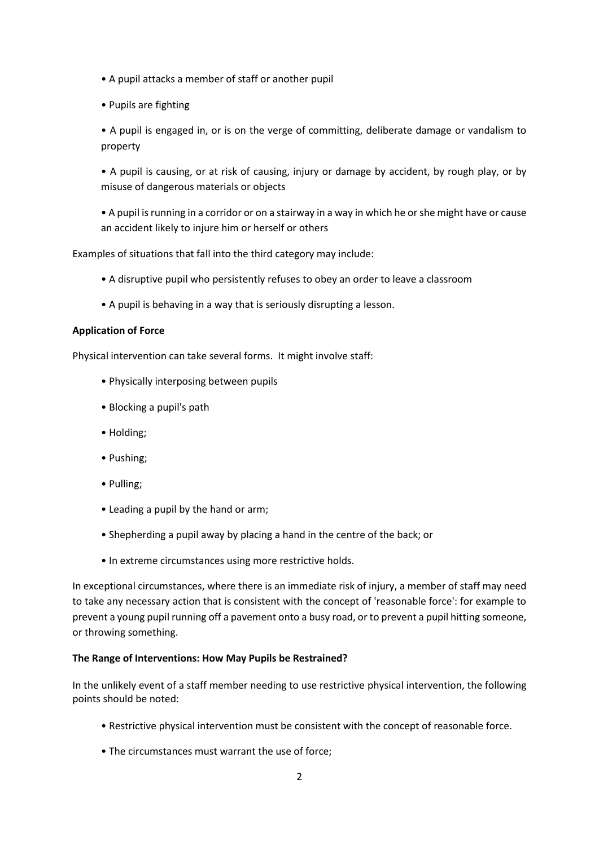- A pupil attacks a member of staff or another pupil
- Pupils are fighting

• A pupil is engaged in, or is on the verge of committing, deliberate damage or vandalism to property

• A pupil is causing, or at risk of causing, injury or damage by accident, by rough play, or by misuse of dangerous materials or objects

• A pupil is running in a corridor or on a stairway in a way in which he or she might have or cause an accident likely to injure him or herself or others

Examples of situations that fall into the third category may include:

- A disruptive pupil who persistently refuses to obey an order to leave a classroom
- A pupil is behaving in a way that is seriously disrupting a lesson.

## **Application of Force**

Physical intervention can take several forms. It might involve staff:

- Physically interposing between pupils
- Blocking a pupil's path
- Holding;
- Pushing;
- Pulling;
- Leading a pupil by the hand or arm;
- Shepherding a pupil away by placing a hand in the centre of the back; or
- In extreme circumstances using more restrictive holds.

In exceptional circumstances, where there is an immediate risk of injury, a member of staff may need to take any necessary action that is consistent with the concept of 'reasonable force': for example to prevent a young pupil running off a pavement onto a busy road, or to prevent a pupil hitting someone, or throwing something.

## **The Range of Interventions: How May Pupils be Restrained?**

In the unlikely event of a staff member needing to use restrictive physical intervention, the following points should be noted:

- Restrictive physical intervention must be consistent with the concept of reasonable force.
- The circumstances must warrant the use of force;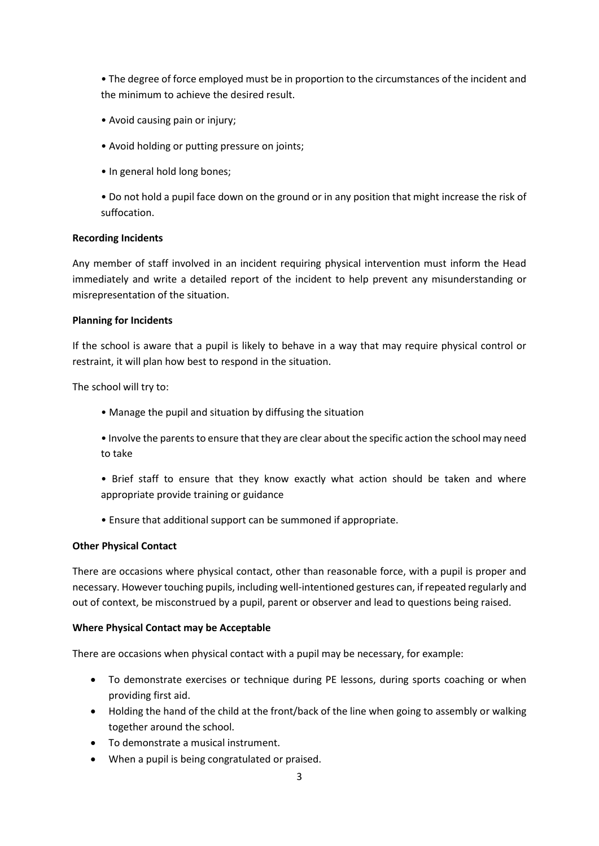• The degree of force employed must be in proportion to the circumstances of the incident and the minimum to achieve the desired result.

- Avoid causing pain or injury;
- Avoid holding or putting pressure on joints;
- In general hold long bones:
- Do not hold a pupil face down on the ground or in any position that might increase the risk of suffocation.

## **Recording Incidents**

Any member of staff involved in an incident requiring physical intervention must inform the Head immediately and write a detailed report of the incident to help prevent any misunderstanding or misrepresentation of the situation.

## **Planning for Incidents**

If the school is aware that a pupil is likely to behave in a way that may require physical control or restraint, it will plan how best to respond in the situation.

The school will try to:

- Manage the pupil and situation by diffusing the situation
- Involve the parents to ensure that they are clear about the specific action the school may need to take
- Brief staff to ensure that they know exactly what action should be taken and where appropriate provide training or guidance
- Ensure that additional support can be summoned if appropriate.

## **Other Physical Contact**

There are occasions where physical contact, other than reasonable force, with a pupil is proper and necessary. However touching pupils, including well-intentioned gestures can, if repeated regularly and out of context, be misconstrued by a pupil, parent or observer and lead to questions being raised.

#### **Where Physical Contact may be Acceptable**

There are occasions when physical contact with a pupil may be necessary, for example:

- To demonstrate exercises or technique during PE lessons, during sports coaching or when providing first aid.
- Holding the hand of the child at the front/back of the line when going to assembly or walking together around the school.
- To demonstrate a musical instrument.
- When a pupil is being congratulated or praised.